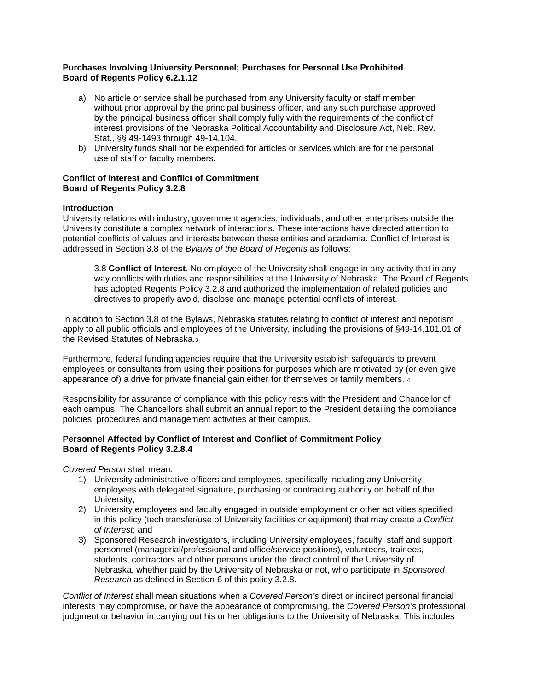## **Purchases Involving University Personnel; Purchases for Personal Use Prohibited Board of Regents Policy 6.2.1.12**

- a) No article or service shall be purchased from any University faculty or staff member without prior approval by the principal business officer, and any such purchase approved by the principal business officer shall comply fully with the requirements of the conflict of interest provisions of the Nebraska Political Accountability and Disclosure Act, Neb. Rev. Stat., §§ 49-1493 through 49-14,104.
- b) University funds shall not be expended for articles or services which are for the personal use of staff or faculty members.

## **Conflict of Interest and Conflict of Commitment Board of Regents Policy 3.2.8**

## **Introduction**

University relations with industry, government agencies, individuals, and other enterprises outside the University constitute a complex network of interactions. These interactions have directed attention to potential conflicts of values and interests between these entities and academia. Conflict of Interest is addressed in Section 3.8 of the *Bylaws of the Board of Regents* as follows:

3.8 **Conflict of Interest**. No employee of the University shall engage in any activity that in any way conflicts with duties and responsibilities at the University of Nebraska. The Board of Regents has adopted Regents Policy 3.2.8 and authorized the implementation of related policies and directives to properly avoid, disclose and manage potential conflicts of interest.

In addition to Section 3.8 of the Bylaws, Nebraska statutes relating to conflict of interest and nepotism apply to all public officials and employees of the University, including the provisions of §49-14,101.01 of the Revised Statutes of Nebraska.3

Furthermore, federal funding agencies require that the University establish safeguards to prevent employees or consultants from using their positions for purposes which are motivated by (or even give appearance of) a drive for private financial gain either for themselves or family members. 4

Responsibility for assurance of compliance with this policy rests with the President and Chancellor of each campus. The Chancellors shall submit an annual report to the President detailing the compliance policies, procedures and management activities at their campus.

## **Personnel Affected by Conflict of Interest and Conflict of Commitment Policy Board of Regents Policy 3.2.8.4**

*Covered Person* shall mean:

- 1) University administrative officers and employees, specifically including any University employees with delegated signature, purchasing or contracting authority on behalf of the University;
- 2) University employees and faculty engaged in outside employment or other activities specified in this policy (tech transfer/use of University facilities or equipment) that may create a *Conflict of Interest*; and
- 3) Sponsored Research investigators, including University employees, faculty, staff and support personnel (managerial/professional and office/service positions), volunteers, trainees, students, contractors and other persons under the direct control of the University of Nebraska, whether paid by the University of Nebraska or not, who participate in *Sponsored Research* as defined in Section 6 of this policy 3.2.8.

*Conflict of Interest* shall mean situations when a *Covered Person's* direct or indirect personal financial interests may compromise, or have the appearance of compromising, the *Covered Person's* professional judgment or behavior in carrying out his or her obligations to the University of Nebraska. This includes